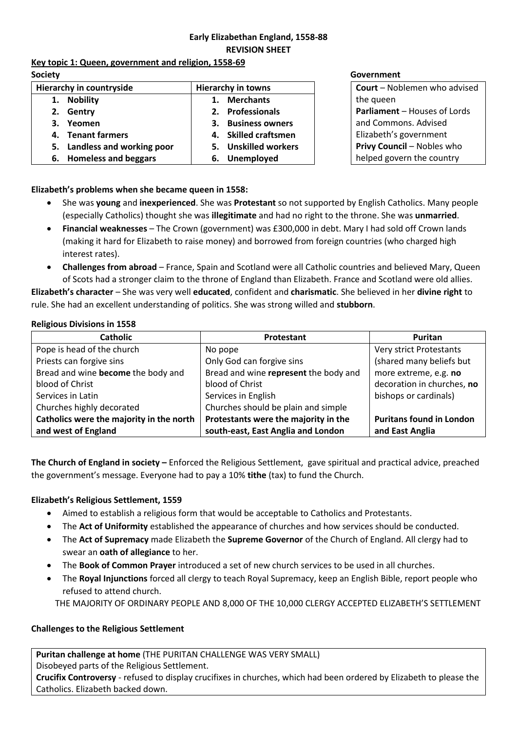# **Early Elizabethan England, 1558-88 REVISION SHEET**

**Key topic 1: Queen, government and religion, 1558-69 Society Government**

| Hierarchy in countryside |                              | <b>Hierarchy in towns</b> |                      |
|--------------------------|------------------------------|---------------------------|----------------------|
|                          | 1. Nobility                  |                           | 1. Merchants         |
|                          | 2. Gentry                    |                           | 2. Professionals     |
|                          | 3. Yeomen                    |                           | 3. Business owners   |
|                          | 4. Tenant farmers            |                           | 4. Skilled craftsmen |
|                          | 5. Landless and working poor |                           | 5. Unskilled workers |
|                          | 6. Homeless and beggars      |                           | 6. Unemployed        |

**Court** – Noblemen who advised the queen **Parliament** – Houses of Lords and Commons. Advised Elizabeth's government **Privy Council** – Nobles who helped govern the country

**Elizabeth's problems when she became queen in 1558:** 

- She was **young** and **inexperienced**. She was **Protestant** so not supported by English Catholics. Many people (especially Catholics) thought she was **illegitimate** and had no right to the throne. She was **unmarried**.
- **Financial weaknesses** The Crown (government) was £300,000 in debt. Mary I had sold off Crown lands (making it hard for Elizabeth to raise money) and borrowed from foreign countries (who charged high interest rates).
- **Challenges from abroad** France, Spain and Scotland were all Catholic countries and believed Mary, Queen of Scots had a stronger claim to the throne of England than Elizabeth. France and Scotland were old allies.

**Elizabeth's character** – She was very well **educated**, confident and **charismatic**. She believed in her **divine right** to rule. She had an excellent understanding of politics. She was strong willed and **stubborn**.

### **Religious Divisions in 1558**

| <b>Catholic</b>                          | Protestant                            | Puritan                         |
|------------------------------------------|---------------------------------------|---------------------------------|
| Pope is head of the church               | No pope                               | Very strict Protestants         |
| Priests can forgive sins                 | Only God can forgive sins             | (shared many beliefs but        |
| Bread and wine become the body and       | Bread and wine represent the body and | more extreme, e.g. no           |
| blood of Christ                          | blood of Christ                       | decoration in churches, no      |
| Services in Latin                        | Services in English                   | bishops or cardinals)           |
| Churches highly decorated                | Churches should be plain and simple   |                                 |
| Catholics were the majority in the north | Protestants were the majority in the  | <b>Puritans found in London</b> |
| and west of England                      | south-east, East Anglia and London    | and East Anglia                 |

**The Church of England in society –** Enforced the Religious Settlement, gave spiritual and practical advice, preached the government's message. Everyone had to pay a 10% **tithe** (tax) to fund the Church.

# **Elizabeth's Religious Settlement, 1559**

- Aimed to establish a religious form that would be acceptable to Catholics and Protestants.
- The **Act of Uniformity** established the appearance of churches and how services should be conducted.
- The **Act of Supremacy** made Elizabeth the **Supreme Governor** of the Church of England. All clergy had to swear an **oath of allegiance** to her.
- The **Book of Common Prayer** introduced a set of new church services to be used in all churches.
- The **Royal Injunctions** forced all clergy to teach Royal Supremacy, keep an English Bible, report people who refused to attend church.

THE MAJORITY OF ORDINARY PEOPLE AND 8,000 OF THE 10,000 CLERGY ACCEPTED ELIZABETH'S SETTLEMENT

# **Challenges to the Religious Settlement**

**Puritan challenge at home** (THE PURITAN CHALLENGE WAS VERY SMALL) Disobeyed parts of the Religious Settlement. **Crucifix Controversy** - refused to display crucifixes in churches, which had been ordered by Elizabeth to please the Catholics. Elizabeth backed down.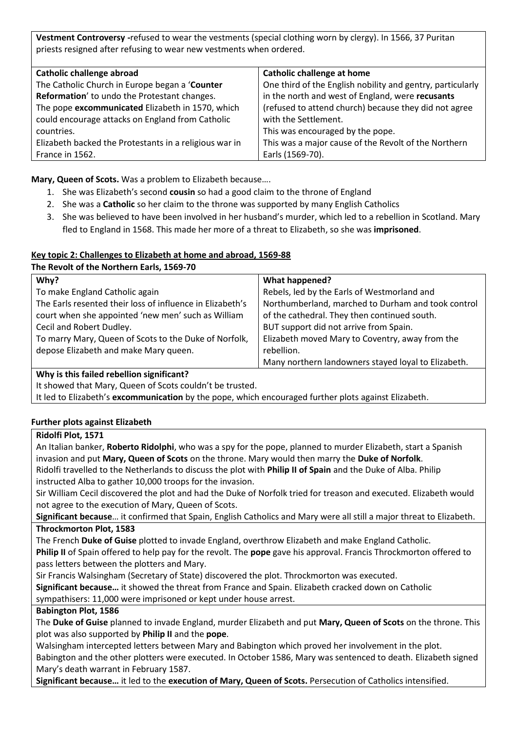**Vestment Controversy -**refused to wear the vestments (special clothing worn by clergy). In 1566, 37 Puritan priests resigned after refusing to wear new vestments when ordered.

| Catholic challenge abroad                              | <b>Catholic challenge at home</b>                          |
|--------------------------------------------------------|------------------------------------------------------------|
| The Catholic Church in Europe began a 'Counter         | One third of the English nobility and gentry, particularly |
| Reformation' to undo the Protestant changes.           | in the north and west of England, were recusants           |
| The pope excommunicated Elizabeth in 1570, which       | (refused to attend church) because they did not agree      |
| could encourage attacks on England from Catholic       | with the Settlement.                                       |
| countries.                                             | This was encouraged by the pope.                           |
| Elizabeth backed the Protestants in a religious war in | This was a major cause of the Revolt of the Northern       |
| France in 1562.                                        | Earls (1569-70).                                           |

**Mary, Queen of Scots.** Was a problem to Elizabeth because….

- 1. She was Elizabeth's second **cousin** so had a good claim to the throne of England
- 2. She was a **Catholic** so her claim to the throne was supported by many English Catholics
- 3. She was believed to have been involved in her husband's murder, which led to a rebellion in Scotland. Mary fled to England in 1568. This made her more of a threat to Elizabeth, so she was **imprisoned**.

### **Key topic 2: Challenges to Elizabeth at home and abroad, 1569-88**

| The Revolt of the Northern Earls, 1569-70                 |                                                     |  |  |  |
|-----------------------------------------------------------|-----------------------------------------------------|--|--|--|
| Why?                                                      | What happened?                                      |  |  |  |
| To make England Catholic again                            | Rebels, led by the Earls of Westmorland and         |  |  |  |
| The Earls resented their loss of influence in Elizabeth's | Northumberland, marched to Durham and took control  |  |  |  |
| court when she appointed 'new men' such as William        | of the cathedral. They then continued south.        |  |  |  |
| Cecil and Robert Dudley.                                  | BUT support did not arrive from Spain.              |  |  |  |
| To marry Mary, Queen of Scots to the Duke of Norfolk,     | Elizabeth moved Mary to Coventry, away from the     |  |  |  |
| depose Elizabeth and make Mary queen.                     | rebellion.                                          |  |  |  |
|                                                           | Many northern landowners stayed loyal to Elizabeth. |  |  |  |
|                                                           |                                                     |  |  |  |

### **Why is this failed rebellion significant?**

It showed that Mary, Queen of Scots couldn't be trusted.

It led to Elizabeth's **excommunication** by the pope, which encouraged further plots against Elizabeth.

### **Further plots against Elizabeth**

### **Ridolfi Plot, 1571**

An Italian banker, **Roberto Ridolphi**, who was a spy for the pope, planned to murder Elizabeth, start a Spanish invasion and put **Mary, Queen of Scots** on the throne. Mary would then marry the **Duke of Norfolk**.

Ridolfi travelled to the Netherlands to discuss the plot with **Philip II of Spain** and the Duke of Alba. Philip instructed Alba to gather 10,000 troops for the invasion.

Sir William Cecil discovered the plot and had the Duke of Norfolk tried for treason and executed. Elizabeth would not agree to the execution of Mary, Queen of Scots.

**Significant because**… it confirmed that Spain, English Catholics and Mary were all still a major threat to Elizabeth. **Throckmorton Plot, 1583**

The French **Duke of Guise** plotted to invade England, overthrow Elizabeth and make England Catholic. **Philip II** of Spain offered to help pay for the revolt. The **pope** gave his approval. Francis Throckmorton offered to pass letters between the plotters and Mary.

Sir Francis Walsingham (Secretary of State) discovered the plot. Throckmorton was executed.

**Significant because…** it showed the threat from France and Spain. Elizabeth cracked down on Catholic sympathisers: 11,000 were imprisoned or kept under house arrest.

### **Babington Plot, 1586**

The **Duke of Guise** planned to invade England, murder Elizabeth and put **Mary, Queen of Scots** on the throne. This plot was also supported by **Philip II** and the **pope**.

Walsingham intercepted letters between Mary and Babington which proved her involvement in the plot. Babington and the other plotters were executed. In October 1586, Mary was sentenced to death. Elizabeth signed Mary's death warrant in February 1587.

**Significant because…** it led to the **execution of Mary, Queen of Scots.** Persecution of Catholics intensified.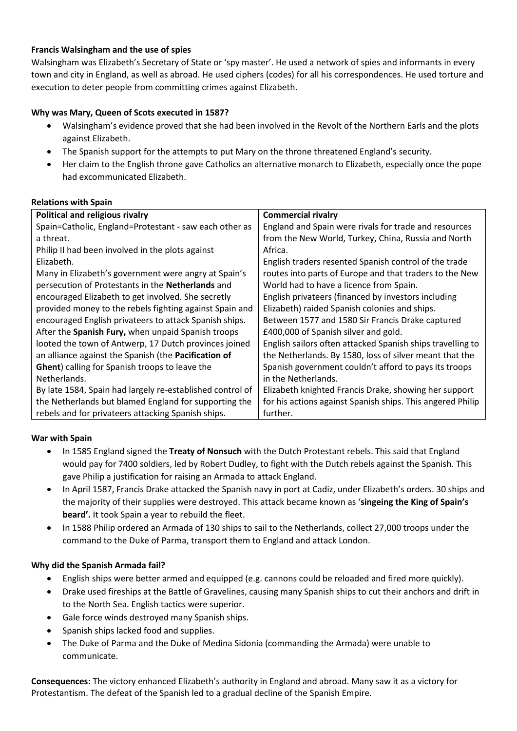### **Francis Walsingham and the use of spies**

Walsingham was Elizabeth's Secretary of State or 'spy master'. He used a network of spies and informants in every town and city in England, as well as abroad. He used ciphers (codes) for all his correspondences. He used torture and execution to deter people from committing crimes against Elizabeth.

## **Why was Mary, Queen of Scots executed in 1587?**

- Walsingham's evidence proved that she had been involved in the Revolt of the Northern Earls and the plots against Elizabeth.
- The Spanish support for the attempts to put Mary on the throne threatened England's security.
- Her claim to the English throne gave Catholics an alternative monarch to Elizabeth, especially once the pope had excommunicated Elizabeth.

### **Relations with Spain**

| Political and religious rivalry                           | <b>Commercial rivalry</b>                                  |  |
|-----------------------------------------------------------|------------------------------------------------------------|--|
| Spain=Catholic, England=Protestant - saw each other as    | England and Spain were rivals for trade and resources      |  |
| a threat.                                                 | from the New World, Turkey, China, Russia and North        |  |
| Philip II had been involved in the plots against          | Africa.                                                    |  |
| Elizabeth.                                                | English traders resented Spanish control of the trade      |  |
| Many in Elizabeth's government were angry at Spain's      | routes into parts of Europe and that traders to the New    |  |
| persecution of Protestants in the <b>Netherlands</b> and  | World had to have a licence from Spain.                    |  |
| encouraged Elizabeth to get involved. She secretly        | English privateers (financed by investors including        |  |
| provided money to the rebels fighting against Spain and   | Elizabeth) raided Spanish colonies and ships.              |  |
| encouraged English privateers to attack Spanish ships.    | Between 1577 and 1580 Sir Francis Drake captured           |  |
| After the Spanish Fury, when unpaid Spanish troops        | £400,000 of Spanish silver and gold.                       |  |
| looted the town of Antwerp, 17 Dutch provinces joined     | English sailors often attacked Spanish ships travelling to |  |
| an alliance against the Spanish (the Pacification of      | the Netherlands. By 1580, loss of silver meant that the    |  |
| <b>Ghent</b> ) calling for Spanish troops to leave the    | Spanish government couldn't afford to pays its troops      |  |
| Netherlands.                                              | in the Netherlands.                                        |  |
| By late 1584, Spain had largely re-established control of | Elizabeth knighted Francis Drake, showing her support      |  |
| the Netherlands but blamed England for supporting the     | for his actions against Spanish ships. This angered Philip |  |
| rebels and for privateers attacking Spanish ships.        | further.                                                   |  |

### **War with Spain**

- In 1585 England signed the **Treaty of Nonsuch** with the Dutch Protestant rebels. This said that England would pay for 7400 soldiers, led by Robert Dudley, to fight with the Dutch rebels against the Spanish. This gave Philip a justification for raising an Armada to attack England.
- In April 1587, Francis Drake attacked the Spanish navy in port at Cadiz, under Elizabeth's orders. 30 ships and the majority of their supplies were destroyed. This attack became known as '**singeing the King of Spain's beard'.** It took Spain a year to rebuild the fleet.
- In 1588 Philip ordered an Armada of 130 ships to sail to the Netherlands, collect 27,000 troops under the command to the Duke of Parma, transport them to England and attack London.

### **Why did the Spanish Armada fail?**

- English ships were better armed and equipped (e.g. cannons could be reloaded and fired more quickly).
- Drake used fireships at the Battle of Gravelines, causing many Spanish ships to cut their anchors and drift in to the North Sea. English tactics were superior.
- Gale force winds destroyed many Spanish ships.
- Spanish ships lacked food and supplies.
- The Duke of Parma and the Duke of Medina Sidonia (commanding the Armada) were unable to communicate.

**Consequences:** The victory enhanced Elizabeth's authority in England and abroad. Many saw it as a victory for Protestantism. The defeat of the Spanish led to a gradual decline of the Spanish Empire.